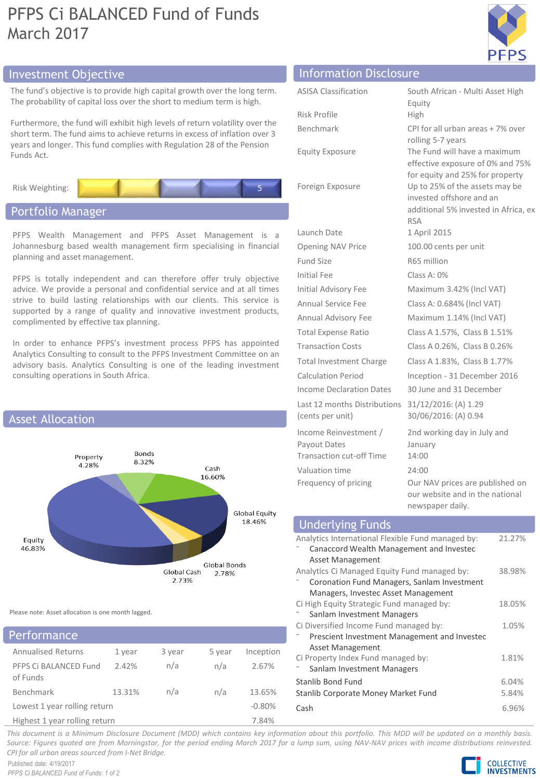# PFPS Ci BALANCED Fund of Funds March 2017



## Investment Objective Information Disclosure

The fund's objective is to provide high capital growth over the long term. The probability of capital loss over the short to medium term is high.

Furthermore, the fund will exhibit high levels of return volatility over the short term. The fund aims to achieve returns in excess of inflation over 3 years and longer. This fund complies with Regulation 28 of the Pension Funds Act.



## Portfolio Manager

PFPS Wealth Management and PFPS Asset Management is a Johannesburg based wealth management firm specialising in financial planning and asset management.

PFPS is totally independent and can therefore offer truly objective advice. We provide a personal and confidential service and at all times strive to build lasting relationships with our clients. This service is supported by a range of quality and innovative investment products, complimented by effective tax planning.

In order to enhance PFPS's investment process PFPS has appointed Analytics Consulting to consult to the PFPS Investment Committee on an advisory basis. Analytics Consulting is one of the leading investment consulting operations in South Africa.



Please note: Asset allocation is one month lagged.

## Performance

| .                                 |        |        |        |           |
|-----------------------------------|--------|--------|--------|-----------|
| <b>Annualised Returns</b>         | 1 year | 3 year | 5 year | Inception |
| PFPS Ci BALANCED Fund<br>of Funds | 2.42%  | n/a    | n/a    | 2.67%     |
| Benchmark                         | 13.31% | n/a    | n/a    | 13.65%    |
| Lowest 1 year rolling return      |        |        |        | $-0.80%$  |
| Highest 1 year rolling return     | 7.84%  |        |        |           |

| <u></u>                                                                  |                                                                                                                  |
|--------------------------------------------------------------------------|------------------------------------------------------------------------------------------------------------------|
| <b>ASISA Classification</b>                                              | South African - Multi Asset High                                                                                 |
|                                                                          | Equity                                                                                                           |
| Risk Profile                                                             | High                                                                                                             |
| Benchmark                                                                | CPI for all urban areas + 7% over<br>rolling 5-7 years                                                           |
| <b>Equity Exposure</b>                                                   | The Fund will have a maximum<br>effective exposure of 0% and 75%<br>for equity and 25% for property              |
| Foreign Exposure                                                         | Up to 25% of the assets may be<br>invested offshore and an<br>additional 5% invested in Africa, ex<br><b>RSA</b> |
| Launch Date                                                              | 1 April 2015                                                                                                     |
| Opening NAV Price                                                        | 100.00 cents per unit                                                                                            |
| <b>Fund Size</b>                                                         | R65 million                                                                                                      |
| Initial Fee                                                              | Class A: 0%                                                                                                      |
| Initial Advisory Fee                                                     | Maximum 3.42% (Incl VAT)                                                                                         |
| Annual Service Fee                                                       | Class A: 0.684% (Incl VAT)                                                                                       |
| Annual Advisory Fee                                                      | Maximum 1.14% (Incl VAT)                                                                                         |
| <b>Total Expense Ratio</b>                                               | Class A 1.57%, Class B 1.51%                                                                                     |
| <b>Transaction Costs</b>                                                 | Class A 0.26%, Class B 0.26%                                                                                     |
| <b>Total Investment Charge</b>                                           | Class A 1.83%, Class B 1.77%                                                                                     |
| <b>Calculation Period</b>                                                | Inception - 31 December 2016                                                                                     |
| Income Declaration Dates                                                 | 30 June and 31 December                                                                                          |
| Last 12 months Distributions<br>(cents per unit)                         | 31/12/2016: (A) 1.29<br>30/06/2016: (A) 0.94                                                                     |
| Income Reinvestment /<br>Payout Dates<br><b>Transaction cut-off Time</b> | 2nd working day in July and<br>January<br>14:00                                                                  |
| Valuation time                                                           | 24:00                                                                                                            |

Frequency of pricing Our NAV prices are published on our website and in the national newspaper daily. Analytics International Flexible Fund managed by: 21.27% Underlying Funds

|                                              | Canaccord Wealth Management and Investec     |        |
|----------------------------------------------|----------------------------------------------|--------|
|                                              | Asset Management                             |        |
| Analytics Ci Managed Equity Fund managed by: | 38.98%                                       |        |
|                                              | Coronation Fund Managers, Sanlam Investment  |        |
|                                              | Managers, Investec Asset Management          |        |
|                                              | Ci High Equity Strategic Fund managed by:    | 18.05% |
|                                              | Sanlam Investment Managers                   |        |
|                                              | Ci Diversified Income Fund managed by:       | 1.05%  |
|                                              | Prescient Investment Management and Investec |        |
|                                              | <b>Asset Management</b>                      |        |
|                                              | Ci Property Index Fund managed by:           | 1.81%  |
|                                              | Sanlam Investment Managers                   |        |
| Stanlib Bond Fund                            |                                              | 6.04%  |
|                                              | Stanlib Corporate Money Market Fund          | 5.84%  |
| Cash                                         |                                              | 6.96%  |

This document is a Minimum Disclosure Document (MDD) which contains key information about this portfolio. This MDD will be updated on a monthly basis. Source: Figures quoted are from Morningstar, for the period ending March 2017 for a lump sum, using NAV-NAV prices with income distributions reinvested. *CPI for all urban areas sourced from I-Net Bridge.*

Published date: 4/19/2017 *PFPS Ci BALANCED Fund of Funds: 1 of 2*